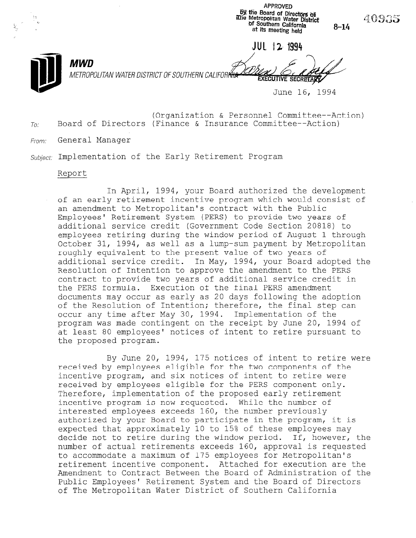APPROVED by the Board of Directors as illie Metropolitan Water District bf Southern California at its meeting held 8-14 JUL 12 1994 MWD METROPOLITAN WATER DISTRICT OF SOUTHERN CALIFORI<del>NI</del> **SECRETARY** June 16, 1994

(Organization & Personnel Committee--Action)  $T_{0}$ : Board of Directors (Finance & Insurance Committee--Action)

40935

From: General Manager

Subject: Implementation of the Early Retirement Program

### Report

In April, 1994, your Board authorized the development of an early retirement incentive program which would consist of an amendment to Metropolitan's contract with the Public Employees' Retirement System (PERS) to provide two years of additional service credit (Government Code Section 20818) to employees retiring during the window period of August 1 through October 31, 1994, as well as a lump-sum payment by Metropolitan roughly equivalent to the present value of two years of additional service credit. In May, 1994, your Board adopted the Resolution of Intention to approve the amendment to the PERS contract to provide two years of additional service credit in the PERS formula. Execution of the final PERS amendment documents may occur as early as 20 days following the adoption of the Resolution of Intention; therefore, the final step can occur any time after May 30, 1994. Implementation of the program was made contingent on the receipt by June 20, 1994 of at least 80 employees' notices of intent to retire pursuant to the proposed program.

By June 20, 1994, 175 notices of intent to retire were received by employees eligible for the two components of the incentive program, and six notices of intent to retire were received by employees eligible for the PERS component only. Therefore, implementation of the proposed early retirement incentive program is now requested. While the number of interested employees exceeds 160, the number previously authorized by your Board to participate in the program, it is authorized by your board to participate in the program, it is expected that approximately 10 to 15% of these employees may<br>decide not to retire during the window period. If, however, the number of actual retirements exceeds 160, approval is requested to accommodate a maximum of 175 employees for Metropolitan's retirement incentive component. Attached for execution are the Amendment to Contract Between the Board of Administration of the AMENQUENT TO CONTIACT BETWEEN THE BOATA OF AQUITILISTIATION OF<br>Bell's Bell<sup>e</sup> Retirement Continues and the Board of Birect Public Employees' Retirement System and the Board of Directors<br>of The Metropolitan Water District of Southern California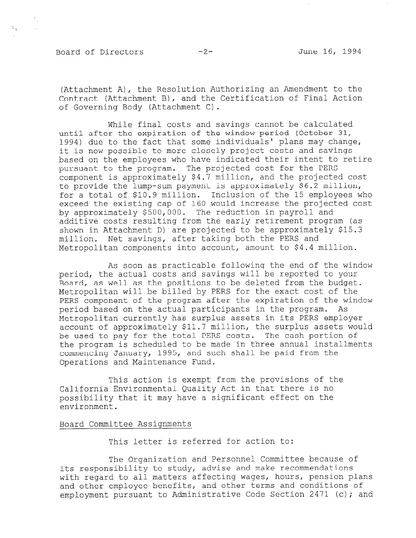## Board of Directors -2- June 16, 1994

 $\mathbb{C}_\alpha$ 

(Attachment A), the Resolution Authorizing an Amendment to the Contract (Attachment B), and the Certification of Final Action of Governing Body (Attachment C).

While final costs and savings cannot be calculated until after the expiration of the window period (October 31, 1994) due to the fact that some individuals' plans may change, it is now possible to more closely project costs and savings based on the employees who have indicated their intent to retire pursuant to the program. The projected cost for the PERS component is approximately \$4.7 million, and the projected cost to provide the lump-sum payment is approximately \$6.2 million, for a total of \$10.9 million. Inclusion of the 15 employees who exceed the existing cap of 160 would increase the projected cost by approximately \$500,000. The reduction in payroll and additive costs resulting from the early retirement program (as shown in Attachment D) are projected to be approximately \$15.3 million. Net savings, after taking both the PERS and Metropolitan components into account, amount to \$4.4 million.

As soon as practicable following the end of the window period, the actual costs and savings will be reported to your Board, as well as the positions to be deleted from the budget. Metropolitan will be billed by PERS for the exact cost of the PERS component of the program after the expiration of the window period based on the actual participants in the program. As Metropolitan currently has surplus assets in its PERS employer account of approximately \$11.7 million, the surplus assets would be used to pay for the total PERS costs. The cash portion of the program is scheduled to be made in three annual installments commencing January, 1995, and such shall be paid from the Operations and Maintenance Fund.

This action is exempt from the provisions of the California Environmental Quality Act in that there is no possibility that it may have a significant effect on the environment.

## Board Committee Assignments

This letter is referred for action to:

The Organization and Personnel Committee because of its responsibility to study, advise and make recommendations with regard to all matters affecting wages, hours, pension plans and other employee benefits, and other terms and conditions of employment pursuant to Administrative Code Section 2471 (c); and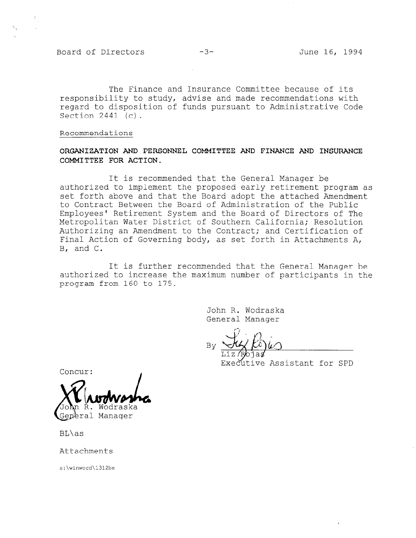Board of Directors -3- June 16, 1994

The Finance and Insurance Committee because of its responsibility to study, advise and made recommendations with regard to disposition of funds pursuant to Administrative Code Section 2441 (c).

Recommendations

## ORGANIZATION AND PERSONNEL COMMITTEE AND FINANCE AND INSURANCE COMMITTEE FOR ACTION.

It is recommended that the General Manager be authorized to implement the proposed early retirement program as set forth above and that the Board adopt the attached Amendment to Contract Between the Board of Administration of the Public Employees' Retirement System and the Board of Directors of The Metropolitan Water District of Southern California; Resolution Authorizing an Amendment to the Contract; and Certification of Final Action of Governing body, as set forth in Attachments A, B, and C.

It is further recommended that the General Manager be authorized to increase the maximum number of participants in the program from 160 to 175.

> John R. Wodraska General Manager

 $B_{\rm B}$   $\Delta t$ ,

Executive Assistant for SPD

Concur:

ral Manager

BL\as

Attachments

s:\winword\l312be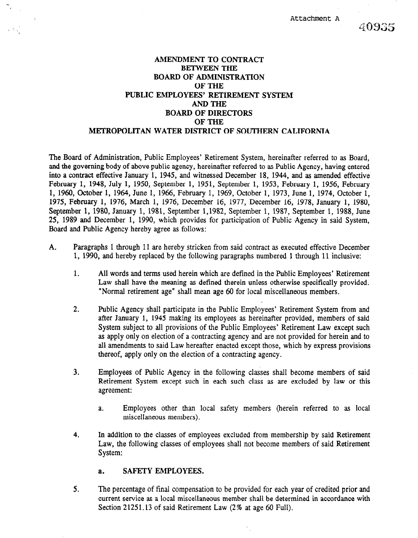Attachment A

# 409335

## AMENDMENT- TO CONTRACT BETWEEN THE BOARD OF ADMINISTRATION OFTHE PUBLIC EMPLOYEES' RETIREMENT SYSTEM **AND THE** BOARD OF DIRECTORS OFTHE METROPOLITAN WATER DISTRICT OF SOUTHERN CALIFORNIA

The Board of Administration, Public Employees' Retirement System, hereinafter referred to as Board, and the governing body of above public agency, hereinafter referred to as Public Agency, having entered into a contract effective January 1, 1945, and witnessed December 18, 1944, and as amended effective February 1, 1948, July 1, 1950, September 1, 1951, September 1, 1953, February 1, 1956, February 1, 1960, October 1, 1964, June 1, 1966, February 1, 1969, October 1, 1973, June 1, 1974, October 1, 1975, February 1, 1976, March 1, 1976, December 16, 1977, December 16, 1978, January 1, 1980, September 1, 1980, January 1, 1981, September 1,1982, September 1, 1987, September 1, 1988, June 25, 1989 and December 1, 1990, which provides for participation of Public Agency in said System, Board and Public Agency hereby agree as follows:

- A. Paragraphs 1 through 11 are hereby stricken from said contract as executed effective December 1, 1990, and hereby replaced by the following paragraphs numbered 1 through 11 inclusive:
	- 1. All words and terms used herein which are defined in the Public Employees' Retirement All words and terms used herein winen are defined in the rubble Employees. Retriement Law shall have the meaning as defined therein unless otherwise specifically provided. "Normal retirement age" shall mean age 60 for local miscellaneous members.
	- 2. Public Agency shall participate in the Public Employees' Retirement System from and Public Agency shall participate in the Public Employees Retirement System from and after January 1, 1945 making its employees as hereinafter provided, members of said System subject to all provisions of the Public Employees' Retirement Law except such as apply only on election of a contracting agency and are not provided for herein and to all amendments to said Law hereafter enacted except those, which by express provisions thereof, apply only on the election of a contracting agency.
	- $\mathbb{R}^2$  . Employees of Public Agency in the following classes shall become members of said become members of said Employees of Public Agency in the following classes shall become members of said Retirement System except such in each such class as are excluded by law or this agreement:
		- Employees other than local safety members (herein referred to as local miscellaneous members).  $a.$
	- 4. In addition to the classes of employees excluded from membership by said Retirement Law, the following classes of employees shall not become members of said Retirement System:

#### **SAFETY EMPLOYEES.**  $a<sub>z</sub>$

5. The percentage of final compensation to be provided for each year of credited prior and current service as a local miscellaneous member shall be determined in accordance with Section 21251.13 of said Retirement Law (2% at age 60 Full).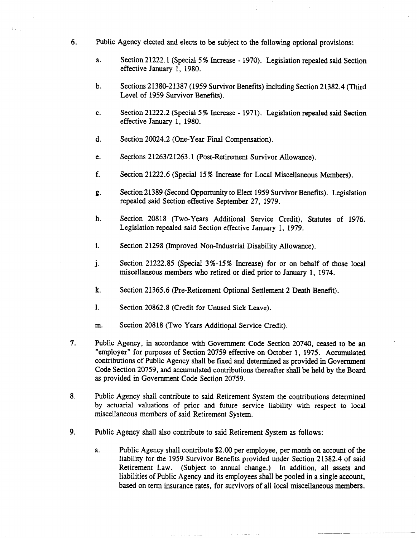- 6. Public Agency elected and elects to be subject to the following optional provisions:
	- a. Section 21222.1 (Special 5 % Increase - 1970). Legislation repealed said Section effective January 1, 1980.
	- b. Sections 21380-21387 (1959 Survivor Benefits) including Section 21382.4 (Third Level of 1959 Survivor Benefits).
	- C. Section 21222.2 (Special 5 % Increase - 1971). Legislation repealed said Section effective January 1, 1980.
	- d. Section 20024.2 (One-Year Final Compensation).

 $\mathbb{S}_{\{n_{\alpha}\}}$  .

- e. Sections 21263/21263.1 (Post-Retirement Survivor Allowance).
- f. Section 21222.6 (Special 15% Increase for Local Miscellaneous Members).
- g. Section 21389 (Second Opportunity to Elect 1959 Survivor Benefits). Legislation repealed said Section effective September 27, 1979.
- h. Section 20818 (Two-Years Additional Service Credit), Statutes of 1976. Legislation repealed said Section effective January 1, 1979.
- i. Section 21298 (Improved Non-Industrial Disability Allowance).
- i Section 21222.85 (Special 3%-15% Increase) for or on behalf of those local miscellaneous members who retired or died prior to January 1, 1974.
- k. Section 21365.6 (Pre-Retirement Optional Settlement 2 Death Benefit).
- 1. Section 20862.8 (Credit for Unused Sick Leave).
- m. Section 20818 (Two Years Additional Service Credit).
- 7. Public Agency, in accordance with Government Code Section 20740, ceased to be an "employer" for purposes of Section 20759 effective on October 1, 1975. Accumulated contributions of Public Agency shall be fxed and determined as provided in Government Code Section 20759, and accumulated contributions thereafter shall be held by the Board as provided in Government Code Section 20759.
- 8. Public Agency shall contribute to said Retirement System the contributions determined by actuarial valuations of prior and future service liability with respect to local miscellaneous members of said Retirement System.
- 9. Public Agency shall also contribute to said Retirement System as follows:
	- a. Public Agency shall contribute \$2.00 per employee, per month on account of the liability for the 1959 Survivor Benefits provided under Section 21382.4 of said Retirement Law. (Subject to annual change.) In addition, all assets and liabilities of Public Agency and its employees shall be pooled in a single account, based on term insurance rates, for survivors of all local miscellaneous members.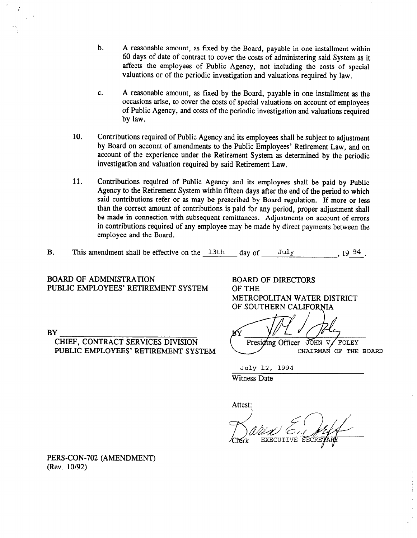- b. A reasonable amount, as fixed by the Board, payable in one installment within 60 days of date of contract to cover the costs of administering said System as it affects the employees of Public Agency, not including the costs of special valuations or of the periodic investigation and valuations required by law.
- C. A reasonable amount, as fixed by the Board, payable in one installment as the occasions arise, to cover the costs of special valuations on account of employees of Public Agency, and costs of the periodic investigation and valuations required by law.
- 10. Contributions required of Public Agency and its employees shall be subject to adjustment by Board on account of amendments to the Public Employees' Retirement Law, and on account of the experience under the Retirement System as determined by the periodic investigation and valuation required by said Retirement Law.
- 11. Contributions required of Public Agency and its employees shall be paid by Public Agency to the Retirement System within fifteen days after the end of the period to which said contributions refer or as may be prescribed by Board regulation. If more or less than the correct amount of contributions is paid for any period, proper adjustment shall be made in connection with subsequent remittances. Adjustments on account of errors in contributions required of any employee may be made by direct payments between the employee and the Board.
- B. This amendment shall be effective on the  $13th$  day of July 19 $94$ .

BOARD OF ADMINISTRATION PUBLIC EMPLOYEES' RETIREMENT SYSTEM

**BY** 

CHIEF, CONTRACT SERVICES DIVISION PUBLIC EMPLOYEES' RETIREMENT SYSTEM BOARD OF DIRECTORS OF THE METROPOLITAN WATER DISTRICT OF SOUTHERN CALIFORNIA

Presiding Officer JOHN V FOLEY CHAIRMAN OF THE BOARD

July 12, 1994

Witness Date

Attest:  $\frac{E}{E}$ 

PERS-CON-702 (AMENDMENT) (Rev. 10/92)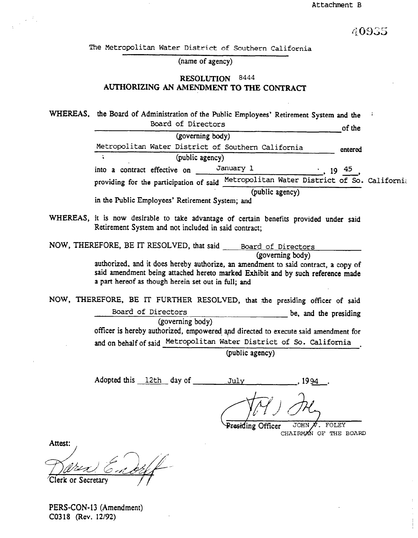40935

The Metropolitan Water District of Southern California

(name of agency)

## RESOLUTION 8444 AUTHORIZING AN AMENDMENT TO THE CONTRACT

WHEREAS, the Board of Administration of the Public Employees' Retirement System and the Board of Directors of the orientation of the set of the set of the set of the set of the set of the set of the set of the set of the set of the set of the set of the set of the set of the set of the set of the set of the s (governing body) Metropolitan Water District of Southern California entered (public agency) into a contract effective on  $\frac{January}{l}$   $\qquad \qquad$  , 19 45 providing for the participation of said Metropolitan Water District of So. California (public agency) in the Public Employees' Retirement System; and

WHEREAS, it is now desirable to take advantage of certain benefits provided under said Retirement System and not included in said contract;

NOW, THEREFORE, BE IT RESOLVED, that said Board of Directors (governing body)  $\alpha$  and it does hereby and it does hereby and  $\alpha$  contract, and  $\alpha$  contract, a contract, a copy of  $\alpha$ 

saudorized, and it does nevery additively, an amendment to said contract, a copy of said amendment being attached hereto marked Exhibit and by such reference made a part hereof as though herein set out in full; and

NOW, THEREFORE, BE IT FURTHER RESOLVED, that the presiding officer of said Board of Directors (governing body) be, and the presiding officer is hereby authorized, empowered and directed to execute said amendment for omber is nervely demonstrated, employed and directed to execute said amendment for

 $\frac{1}{1}$ 

Adopted this 12th day of July 1994

JOHN  $\pi$ . FOLEY Presiding Officer CHAIRMAN OF THE BOARD

Attest:

PERS-CON-13 (Amendment) C0318 (Rev. 12/92)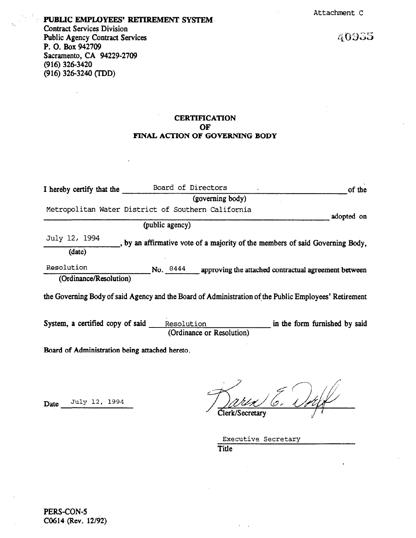# PUBLIC EMPLOYEES' RETIREMENT SYSTEM Contract Services Division

Public Agency Contract Services P. 0. Box 942709 Sacramento, CA 94229-2709  $(916)$  326-3420 (916) 326-3240 (IDD)

 $\mathbf{r}$ 

40935

## **CERTIFICATION OF** FINAL ACTION OF GOVERNING BODY

| I hereby certify that the                      | Board of Directors                                                                                    | of the                        |  |  |  |
|------------------------------------------------|-------------------------------------------------------------------------------------------------------|-------------------------------|--|--|--|
|                                                | (governing body)                                                                                      |                               |  |  |  |
|                                                | Metropolitan Water District of Southern California                                                    | adopted on                    |  |  |  |
|                                                | (public agency)                                                                                       |                               |  |  |  |
| July 12, 1994                                  | , by an affirmative vote of a majority of the members of said Governing Body,                         |                               |  |  |  |
| (date)                                         |                                                                                                       |                               |  |  |  |
| Resolution                                     | No. $8444$ approving the attached contractual agreement between                                       |                               |  |  |  |
| (Ordinance/Resolution)                         |                                                                                                       |                               |  |  |  |
|                                                | the Governing Body of said Agency and the Board of Administration of the Public Employees' Retirement |                               |  |  |  |
| System, a certified copy of said               | Resolution<br>(Ordinance or Resolution)                                                               | in the form furnished by said |  |  |  |
| Board of Administration being attached hereto. |                                                                                                       |                               |  |  |  |

Date July 12, 1994

Clerk/Secretary

Executive Secretary Title